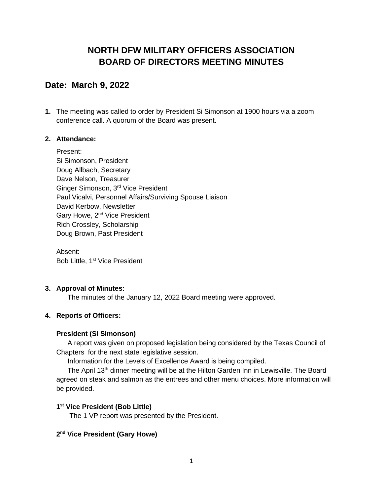# **NORTH DFW MILITARY OFFICERS ASSOCIATION BOARD OF DIRECTORS MEETING MINUTES**

## **Date: March 9, 2022**

**1.** The meeting was called to order by President Si Simonson at 1900 hours via a zoom conference call. A quorum of the Board was present.

### **2. Attendance:**

Present: Si Simonson, President Doug Allbach, Secretary Dave Nelson, Treasurer Ginger Simonson, 3rd Vice President Paul Vicalvi, Personnel Affairs/Surviving Spouse Liaison David Kerbow, Newsletter Gary Howe, 2<sup>nd</sup> Vice President Rich Crossley, Scholarship Doug Brown, Past President

Absent: Bob Little, 1<sup>st</sup> Vice President

### **3. Approval of Minutes:**

The minutes of the January 12, 2022 Board meeting were approved.

### **4. Reports of Officers:**

### **President (Si Simonson)**

A report was given on proposed legislation being considered by the Texas Council of Chapters for the next state legislative session.

Information for the Levels of Excellence Award is being compiled.

The April 13<sup>th</sup> dinner meeting will be at the Hilton Garden Inn in Lewisville. The Board agreed on steak and salmon as the entrees and other menu choices. More information will be provided.

### **1 st Vice President (Bob Little)**

The 1 VP report was presented by the President.

### **2 nd Vice President (Gary Howe)**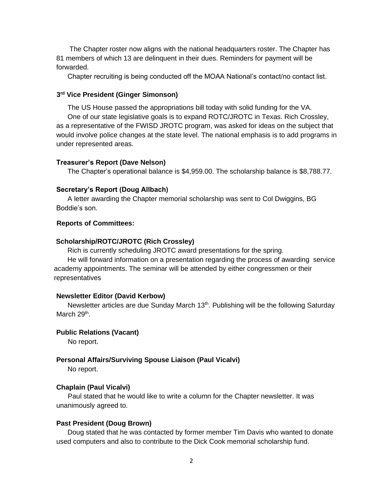The Chapter roster now aligns with the national headquarters roster. The Chapter has 81 members of which 13 are delinquent in their dues. Reminders for payment will be forwarded.

Chapter recruiting is being conducted off the MOAA National's contact/no contact list.

#### **3 rd Vice President (Ginger Simonson)**

The US House passed the appropriations bill today with solid funding for the VA.

One of our state legislative goals is to expand ROTC/JROTC in Texas. Rich Crossley, as a representative of the FWISD JROTC program, was asked for ideas on the subject that would involve police changes at the state level. The national emphasis is to add programs in under represented areas.

#### **Treasurer's Report (Dave Nelson)**

The Chapter's operational balance is \$4,959.00. The scholarship balance is \$8,788.77.

#### **Secretary's Report (Doug Allbach)**

A letter awarding the Chapter memorial scholarship was sent to Col Dwiggins, BG Boddie's son.

#### **Reports of Committees:**

#### **Scholarship/ROTC/JROTC (Rich Crossley)**

Rich is currently scheduling JROTC award presentations for the spring.

 He will forward information on a presentation regarding the process of awarding service academy appointments. The seminar will be attended by either congressmen or their representatives

#### **Newsletter Editor (David Kerbow)**

Newsletter articles are due Sunday March  $13<sup>th</sup>$ . Publishing will be the following Saturday March 29<sup>th</sup>.

#### **Public Relations (Vacant)**

No report.

#### **Personal Affairs/Surviving Spouse Liaison (Paul Vicalvi)**

No report.

#### **Chaplain (Paul Vicalvi)**

 Paul stated that he would like to write a column for the Chapter newsletter. It was unanimously agreed to.

#### **Past President (Doug Brown)**

Doug stated that he was contacted by former member Tim Davis who wanted to donate used computers and also to contribute to the Dick Cook memorial scholarship fund.